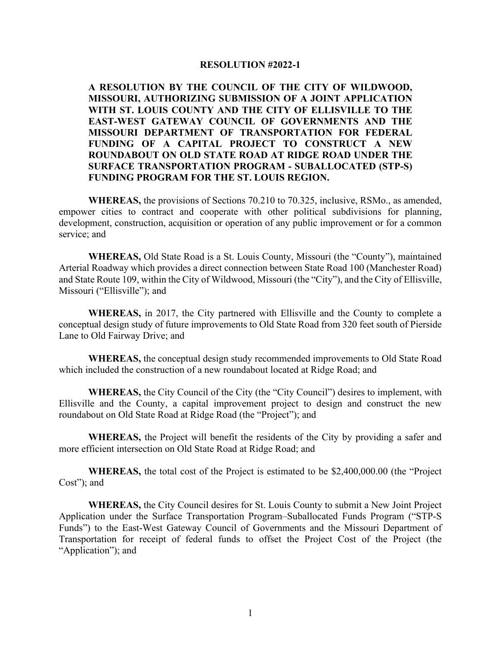## **RESOLUTION #2022-1**

**A RESOLUTION BY THE COUNCIL OF THE CITY OF WILDWOOD, MISSOURI, AUTHORIZING SUBMISSION OF A JOINT APPLICATION WITH ST. LOUIS COUNTY AND THE CITY OF ELLISVILLE TO THE EAST-WEST GATEWAY COUNCIL OF GOVERNMENTS AND THE MISSOURI DEPARTMENT OF TRANSPORTATION FOR FEDERAL FUNDING OF A CAPITAL PROJECT TO CONSTRUCT A NEW ROUNDABOUT ON OLD STATE ROAD AT RIDGE ROAD UNDER THE SURFACE TRANSPORTATION PROGRAM - SUBALLOCATED (STP-S) FUNDING PROGRAM FOR THE ST. LOUIS REGION.**

**WHEREAS,** the provisions of Sections 70.210 to 70.325, inclusive, RSMo., as amended, empower cities to contract and cooperate with other political subdivisions for planning, development, construction, acquisition or operation of any public improvement or for a common service; and

**WHEREAS,** Old State Road is a St. Louis County, Missouri (the "County"), maintained Arterial Roadway which provides a direct connection between State Road 100 (Manchester Road) and State Route 109, within the City of Wildwood, Missouri (the "City"), and the City of Ellisville, Missouri ("Ellisville"); and

**WHEREAS,** in 2017, the City partnered with Ellisville and the County to complete a conceptual design study of future improvements to Old State Road from 320 feet south of Pierside Lane to Old Fairway Drive; and

**WHEREAS,** the conceptual design study recommended improvements to Old State Road which included the construction of a new roundabout located at Ridge Road; and

**WHEREAS,** the City Council of the City (the "City Council") desires to implement, with Ellisville and the County, a capital improvement project to design and construct the new roundabout on Old State Road at Ridge Road (the "Project"); and

**WHEREAS,** the Project will benefit the residents of the City by providing a safer and more efficient intersection on Old State Road at Ridge Road; and

**WHEREAS,** the total cost of the Project is estimated to be \$2,400,000.00 (the "Project Cost"); and

**WHEREAS,** the City Council desires for St. Louis County to submit a New Joint Project Application under the Surface Transportation Program–Suballocated Funds Program ("STP-S Funds") to the East-West Gateway Council of Governments and the Missouri Department of Transportation for receipt of federal funds to offset the Project Cost of the Project (the "Application"); and